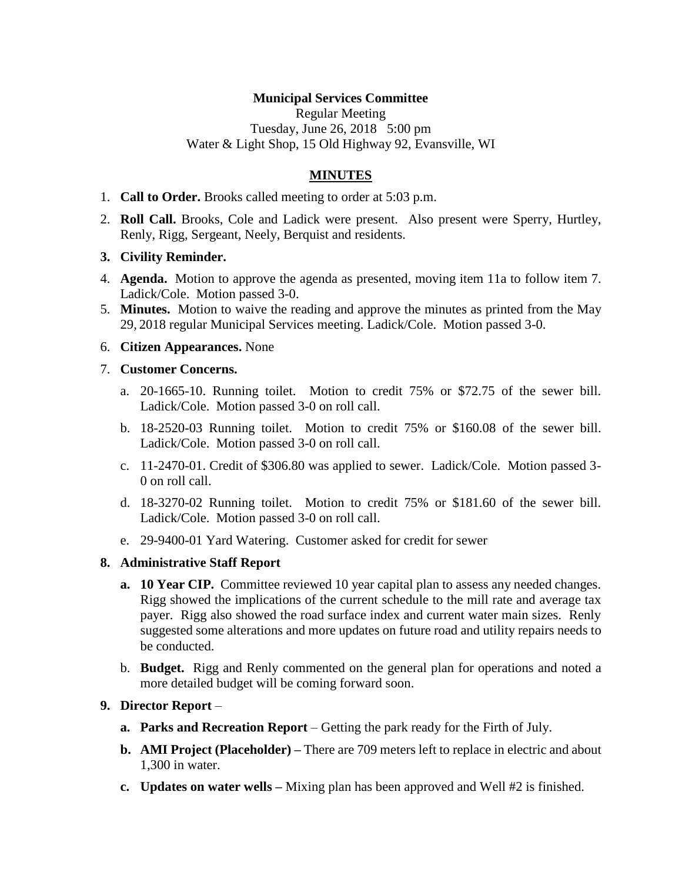# **Municipal Services Committee**

Regular Meeting Tuesday, June 26, 2018 5:00 pm Water & Light Shop, 15 Old Highway 92, Evansville, WI

# **MINUTES**

- 1. **Call to Order.** Brooks called meeting to order at 5:03 p.m.
- 2. **Roll Call.** Brooks, Cole and Ladick were present. Also present were Sperry, Hurtley, Renly, Rigg, Sergeant, Neely, Berquist and residents.

### **3. Civility Reminder.**

- 4. **Agenda.** Motion to approve the agenda as presented, moving item 11a to follow item 7. Ladick/Cole. Motion passed 3-0.
- 5. **Minutes.** Motion to waive the reading and approve the minutes as printed from the May 29, 2018 regular Municipal Services meeting. Ladick/Cole. Motion passed 3-0.

### 6. **Citizen Appearances.** None

### 7. **Customer Concerns.**

- a. 20-1665-10. Running toilet. Motion to credit 75% or \$72.75 of the sewer bill. Ladick/Cole. Motion passed 3-0 on roll call.
- b. 18-2520-03 Running toilet. Motion to credit 75% or \$160.08 of the sewer bill. Ladick/Cole. Motion passed 3-0 on roll call.
- c. 11-2470-01. Credit of \$306.80 was applied to sewer. Ladick/Cole. Motion passed 3- 0 on roll call.
- d. 18-3270-02 Running toilet. Motion to credit 75% or \$181.60 of the sewer bill. Ladick/Cole. Motion passed 3-0 on roll call.
- e. 29-9400-01 Yard Watering. Customer asked for credit for sewer

## **8. Administrative Staff Report**

- **a. 10 Year CIP.** Committee reviewed 10 year capital plan to assess any needed changes. Rigg showed the implications of the current schedule to the mill rate and average tax payer. Rigg also showed the road surface index and current water main sizes. Renly suggested some alterations and more updates on future road and utility repairs needs to be conducted.
- b. **Budget.** Rigg and Renly commented on the general plan for operations and noted a more detailed budget will be coming forward soon.

## **9. Director Report** –

- **a. Parks and Recreation Report** Getting the park ready for the Firth of July.
- **b. AMI Project (Placeholder) –** There are 709 meters left to replace in electric and about 1,300 in water.
- **c. Updates on water wells –** Mixing plan has been approved and Well #2 is finished.